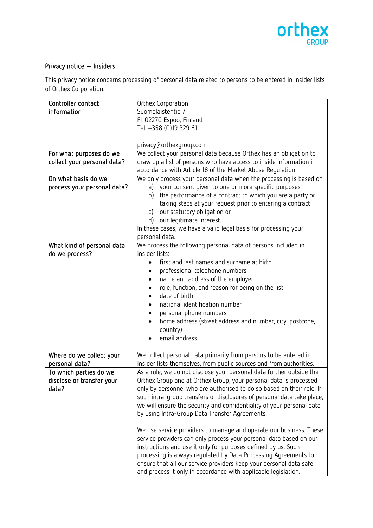

## Privacy notice – Insiders

This privacy notice concerns processing of personal data related to persons to be entered in insider lists of Orthex Corporation.

| Controller contact          | Orthex Corporation                                                             |
|-----------------------------|--------------------------------------------------------------------------------|
| information                 | Suomalaistentie 7                                                              |
|                             | FI-02270 Espoo, Finland                                                        |
|                             | Tel. +358 (0)19 329 61                                                         |
|                             |                                                                                |
|                             | privacy@orthexgroup.com                                                        |
| For what purposes do we     | We collect your personal data because Orthex has an obligation to              |
| collect your personal data? | draw up a list of persons who have access to inside information in             |
|                             | accordance with Article 18 of the Market Abuse Regulation.                     |
| On what basis do we         | We only process your personal data when the processing is based on             |
| process your personal data? | a) your consent given to one or more specific purposes                         |
|                             | the performance of a contract to which you are a party or<br>b)                |
|                             | taking steps at your request prior to entering a contract                      |
|                             | our statutory obligation or<br>c)                                              |
|                             | d) our legitimate interest.                                                    |
|                             | In these cases, we have a valid legal basis for processing your                |
|                             | personal data.                                                                 |
| What kind of personal data  | We process the following personal data of persons included in                  |
| do we process?              | insider lists:                                                                 |
|                             | first and last names and surname at birth                                      |
|                             | professional telephone numbers<br>$\bullet$                                    |
|                             | name and address of the employer<br>$\bullet$                                  |
|                             | role, function, and reason for being on the list<br>$\bullet$<br>date of birth |
|                             | national identification number                                                 |
|                             | personal phone numbers<br>$\bullet$                                            |
|                             | home address (street address and number, city, postcode,                       |
|                             | country)                                                                       |
|                             | email address                                                                  |
|                             |                                                                                |
| Where do we collect your    | We collect personal data primarily from persons to be entered in               |
| personal data?              | insider lists themselves, from public sources and from authorities.            |
| To which parties do we      | As a rule, we do not disclose your personal data further outside the           |
| disclose or transfer your   | Orthex Group and at Orthex Group, your personal data is processed              |
| data?                       | only by personnel who are authorised to do so based on their role. If          |
|                             | such intra-group transfers or disclosures of personal data take place,         |
|                             | we will ensure the security and confidentiality of your personal data          |
|                             | by using Intra-Group Data Transfer Agreements.                                 |
|                             |                                                                                |
|                             | We use service providers to manage and operate our business. These             |
|                             | service providers can only process your personal data based on our             |
|                             | instructions and use it only for purposes defined by us. Such                  |
|                             | processing is always regulated by Data Processing Agreements to                |
|                             | ensure that all our service providers keep your personal data safe             |
|                             | and process it only in accordance with applicable legislation.                 |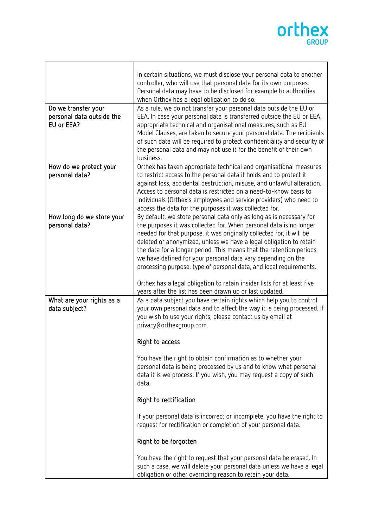## orthex

|                                                                | In certain situations, we must disclose your personal data to another<br>controller, who will use that personal data for its own purposes.<br>Personal data may have to be disclosed for example to authorities<br>when Orthex has a legal obligation to do so.                                                                                                                                                                                                                                                                                                                                                                            |
|----------------------------------------------------------------|--------------------------------------------------------------------------------------------------------------------------------------------------------------------------------------------------------------------------------------------------------------------------------------------------------------------------------------------------------------------------------------------------------------------------------------------------------------------------------------------------------------------------------------------------------------------------------------------------------------------------------------------|
| Do we transfer your<br>personal data outside the<br>EU or EEA? | As a rule, we do not transfer your personal data outside the EU or<br>EEA. In case your personal data is transferred outside the EU or EEA,<br>appropriate technical and organisational measures, such as EU<br>Model Clauses, are taken to secure your personal data. The recipients<br>of such data will be required to protect confidentiality and security of<br>the personal data and may not use it for the benefit of their own<br>business.                                                                                                                                                                                        |
| How do we protect your<br>personal data?                       | Orthex has taken appropriate technical and organisational measures<br>to restrict access to the personal data it holds and to protect it<br>against loss, accidental destruction, misuse, and unlawful alteration.<br>Access to personal data is restricted on a need-to-know basis to<br>individuals (Orthex's employees and service providers) who need to<br>access the data for the purposes it was collected for.                                                                                                                                                                                                                     |
| How long do we store your<br>personal data?                    | By default, we store personal data only as long as is necessary for<br>the purposes it was collected for. When personal data is no longer<br>needed for that purpose, it was originally collected for, it will be<br>deleted or anonymized, unless we have a legal obligation to retain<br>the data for a longer period. This means that the retention periods<br>we have defined for your personal data vary depending on the<br>processing purpose, type of personal data, and local requirements.<br>Orthex has a legal obligation to retain insider lists for at least five<br>years after the list has been drawn up or last updated. |
| What are your rights as a<br>data subject?                     | As a data subject you have certain rights which help you to control<br>your own personal data and to affect the way it is being processed. If<br>you wish to use your rights, please contact us by email at<br>privacy@orthexgroup.com.<br>Right to access<br>You have the right to obtain confirmation as to whether your                                                                                                                                                                                                                                                                                                                 |
|                                                                | personal data is being processed by us and to know what personal<br>data it is we process. If you wish, you may request a copy of such<br>data.<br>Right to rectification                                                                                                                                                                                                                                                                                                                                                                                                                                                                  |
|                                                                | If your personal data is incorrect or incomplete, you have the right to<br>request for rectification or completion of your personal data.                                                                                                                                                                                                                                                                                                                                                                                                                                                                                                  |
|                                                                | Right to be forgotten                                                                                                                                                                                                                                                                                                                                                                                                                                                                                                                                                                                                                      |
|                                                                | You have the right to request that your personal data be erased. In<br>such a case, we will delete your personal data unless we have a legal<br>obligation or other overriding reason to retain your data.                                                                                                                                                                                                                                                                                                                                                                                                                                 |

Г